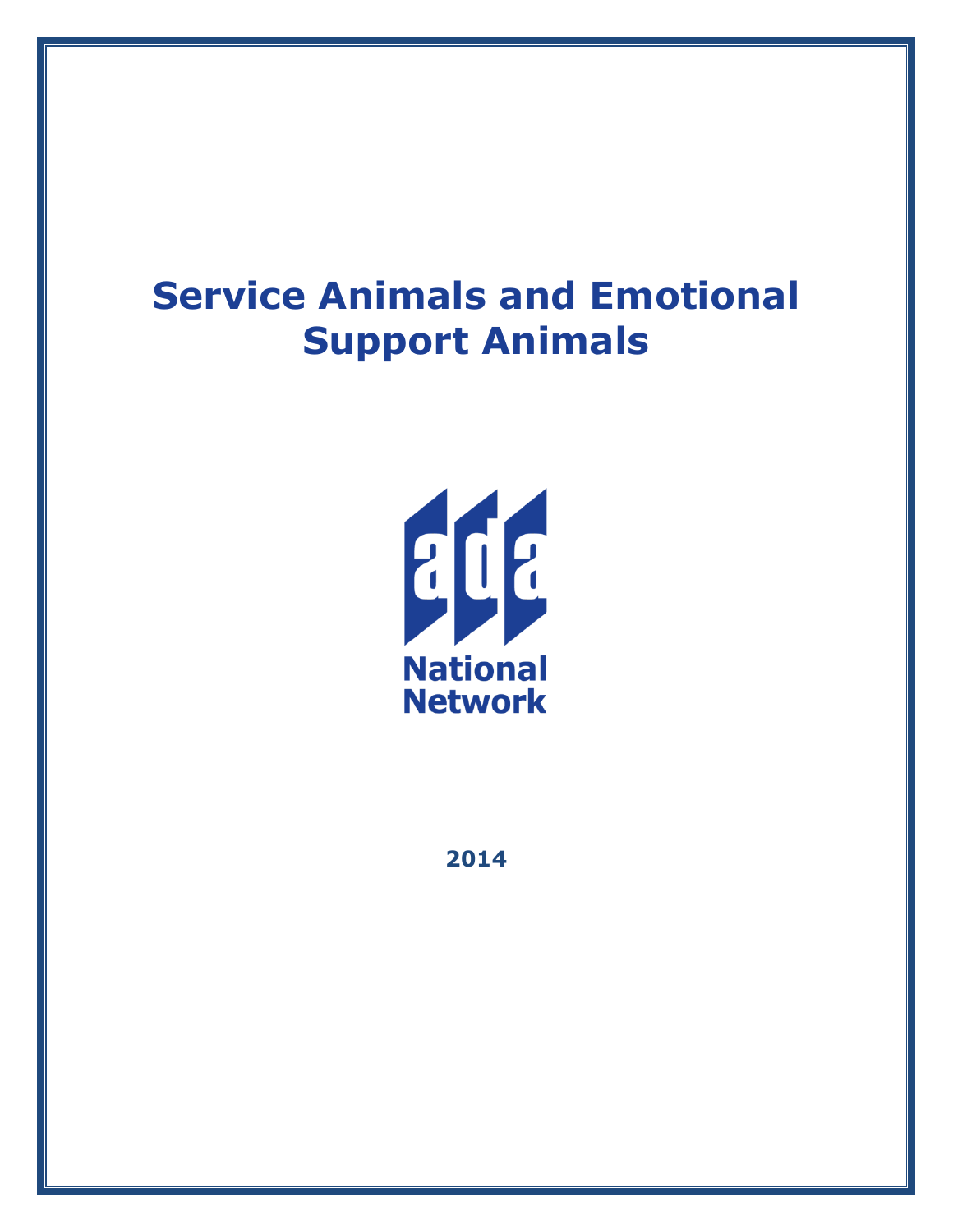### **Service Animals and Emotional Support Animals**



**2014**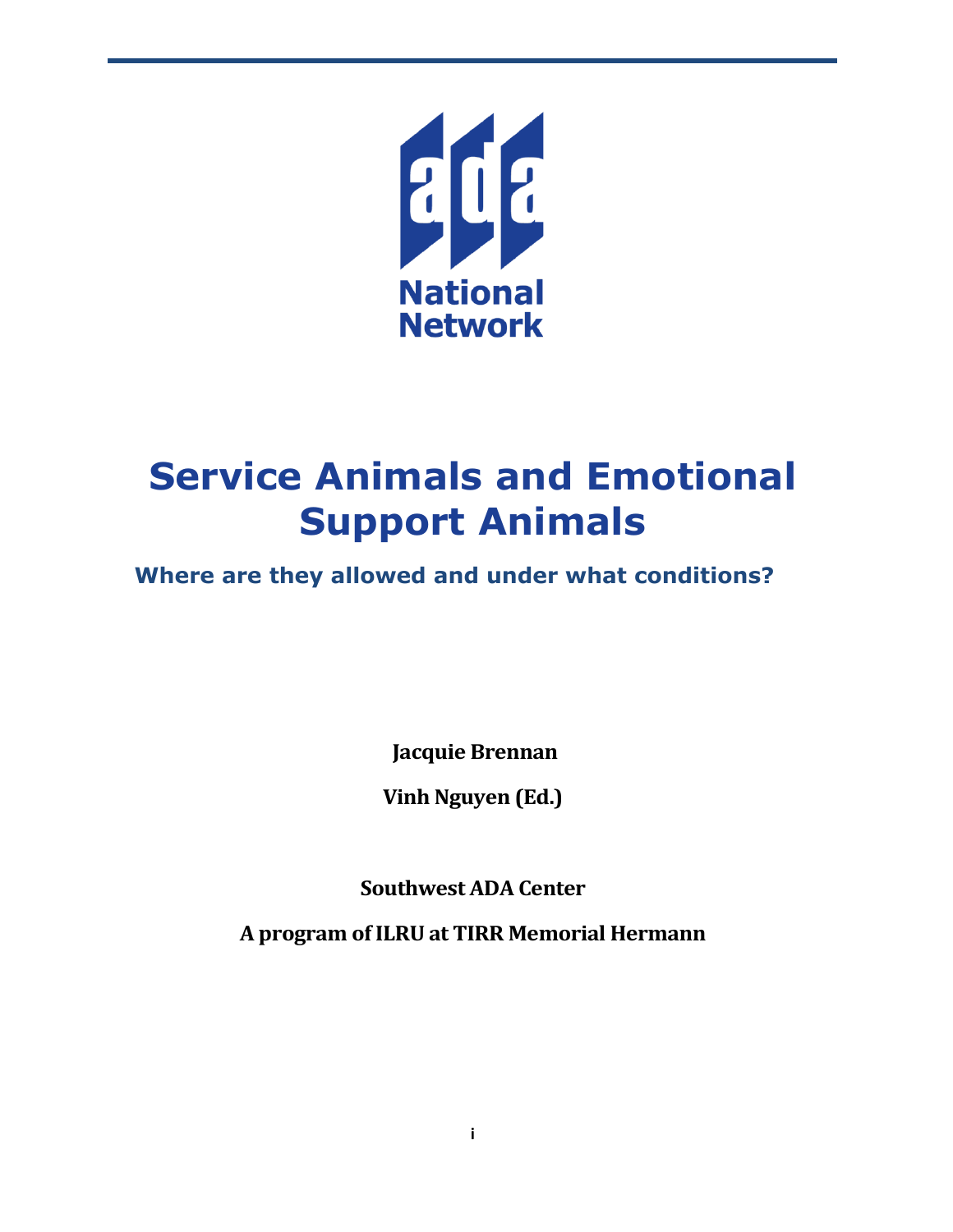

## **Service Animals and Emotional Support Animals**

#### **Where are they allowed and under what conditions?**

**Jacquie Brennan**

**Vinh Nguyen (Ed.)**

**Southwest ADA Center**

**A program of ILRU at TIRR Memorial Hermann**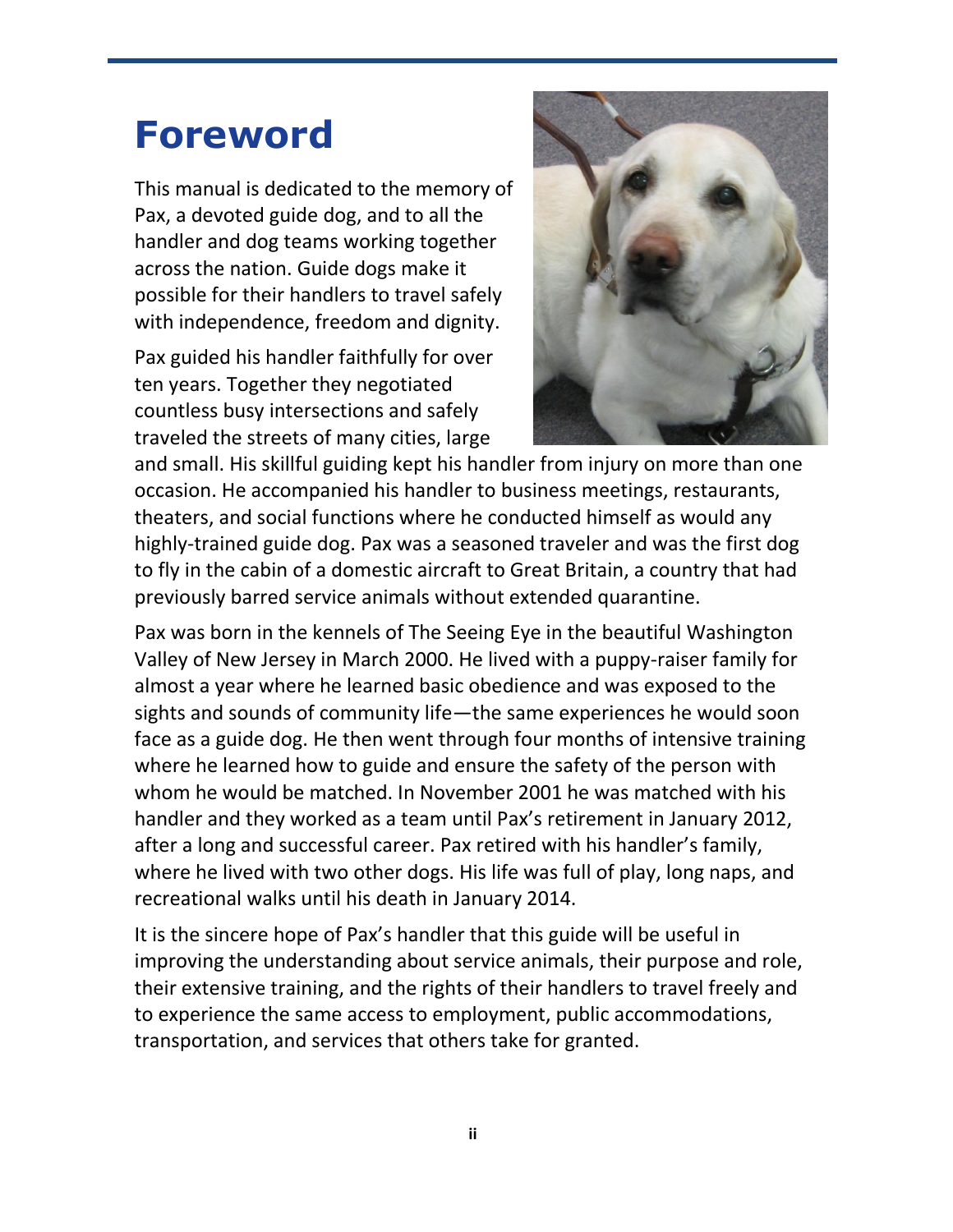### **Foreword**

This manual is dedicated to the memory of Pax, a devoted guide dog, and to all the handler and dog teams working together across the nation. Guide dogs make it possible for their handlers to travel safely with independence, freedom and dignity.

Pax guided his handler faithfully for over ten years. Together they negotiated countless busy intersections and safely traveled the streets of many cities, large



and small. His skillful guiding kept his handler from injury on more than one occasion. He accompanied his handler to business meetings, restaurants, theaters, and social functions where he conducted himself as would any highly-trained guide dog. Pax was a seasoned traveler and was the first dog to fly in the cabin of a domestic aircraft to Great Britain, a country that had previously barred service animals without extended quarantine.

Pax was born in the kennels of The Seeing Eye in the beautiful Washington Valley of New Jersey in March 2000. He lived with a puppy-raiser family for almost a year where he learned basic obedience and was exposed to the sights and sounds of community life—the same experiences he would soon face as a guide dog. He then went through four months of intensive training where he learned how to guide and ensure the safety of the person with whom he would be matched. In November 2001 he was matched with his handler and they worked as a team until Pax's retirement in January 2012, after a long and successful career. Pax retired with his handler's family, where he lived with two other dogs. His life was full of play, long naps, and recreational walks until his death in January 2014.

It is the sincere hope of Pax's handler that this guide will be useful in improving the understanding about service animals, their purpose and role, their extensive training, and the rights of their handlers to travel freely and to experience the same access to employment, public accommodations, transportation, and services that others take for granted.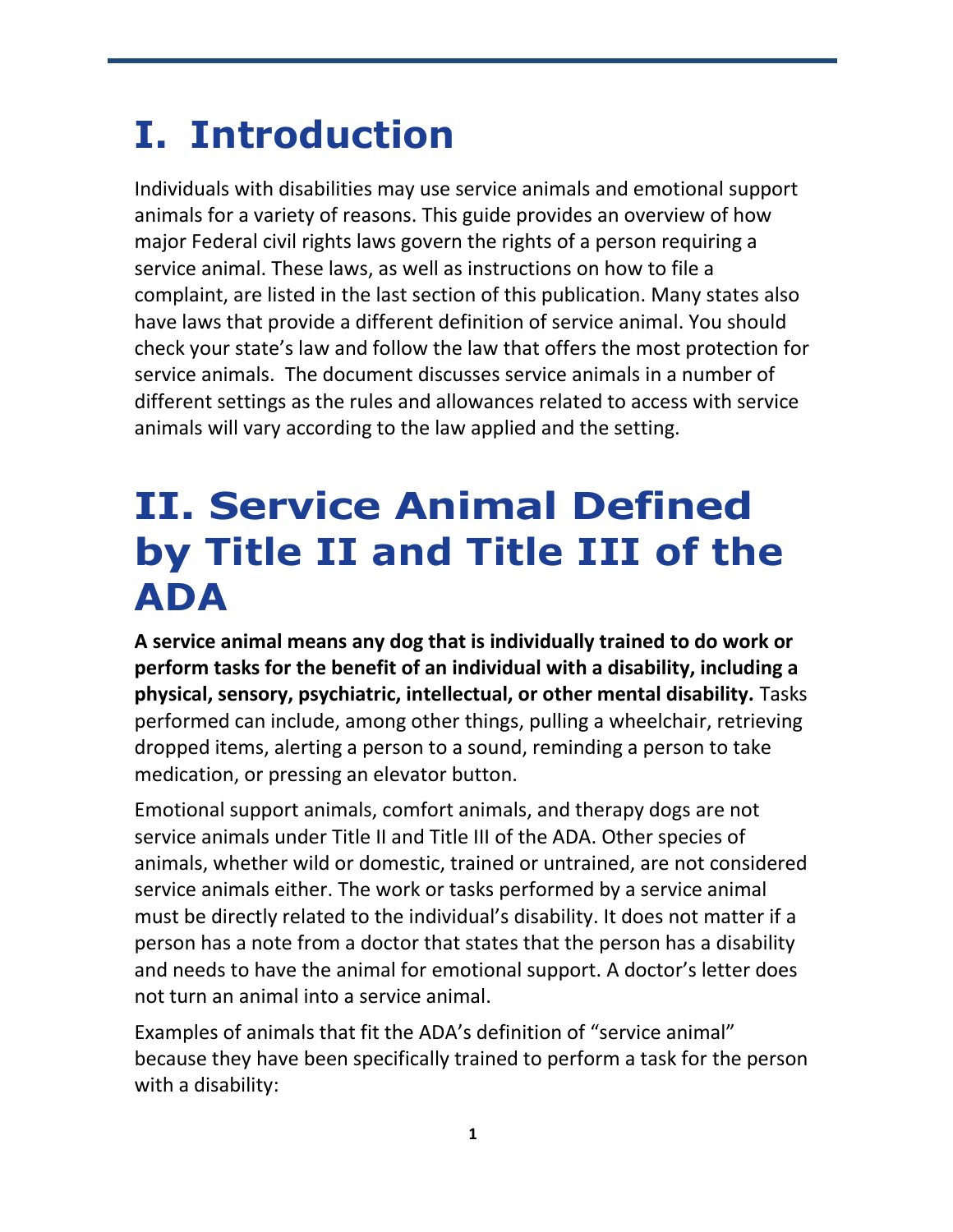# **I. Introduction**

Individuals with disabilities may use service animals and emotional support animals for a variety of reasons. This guide provides an overview of how major Federal civil rights laws govern the rights of a person requiring a service animal. These laws, as well as instructions on how to file a complaint, are listed in the last section of this publication. Many states also have laws that provide a different definition of service animal. You should check your state's law and follow the law that offers the most protection for service animals. The document discusses service animals in a number of different settings as the rules and allowances related to access with service animals will vary according to the law applied and the setting.

## **II. Service Animal Defined by Title II and Title III of the ADA**

**A service animal means any dog that is individually trained to do work or perform tasks for the benefit of an individual with a disability, including a physical, sensory, psychiatric, intellectual, or other mental disability.** Tasks performed can include, among other things, pulling a wheelchair, retrieving dropped items, alerting a person to a sound, reminding a person to take medication, or pressing an elevator button.

Emotional support animals, comfort animals, and therapy dogs are not service animals under Title II and Title III of the ADA. Other species of animals, whether wild or domestic, trained or untrained, are not considered service animals either. The work or tasks performed by a service animal must be directly related to the individual's disability. It does not matter if a person has a note from a doctor that states that the person has a disability and needs to have the animal for emotional support. A doctor's letter does not turn an animal into a service animal.

Examples of animals that fit the ADA's definition of "service animal" because they have been specifically trained to perform a task for the person with a disability: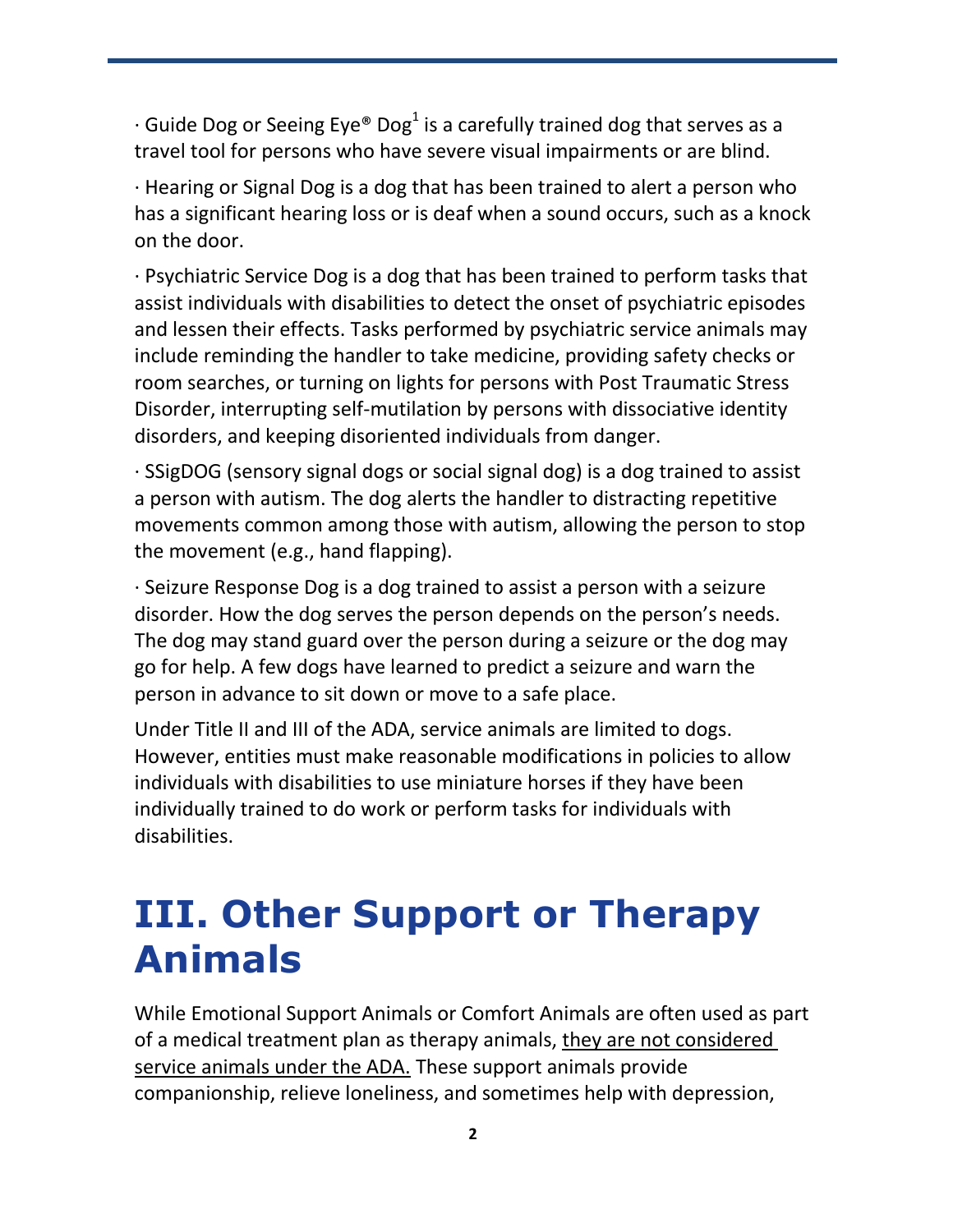$\cdot$  Guide Dog or Seeing Eye® Dog<sup>1</sup> is a carefully trained dog that serves as a travel tool for persons who have severe visual impairments or are blind.

· Hearing or Signal Dog is a dog that has been trained to alert a person who has a significant hearing loss or is deaf when a sound occurs, such as a knock on the door.

· Psychiatric Service Dog is a dog that has been trained to perform tasks that assist individuals with disabilities to detect the onset of psychiatric episodes and lessen their effects. Tasks performed by psychiatric service animals may include reminding the handler to take medicine, providing safety checks or room searches, or turning on lights for persons with Post Traumatic Stress Disorder, interrupting self-mutilation by persons with dissociative identity disorders, and keeping disoriented individuals from danger.

· SSigDOG (sensory signal dogs or social signal dog) is a dog trained to assist a person with autism. The dog alerts the handler to distracting repetitive movements common among those with autism, allowing the person to stop the movement (e.g., hand flapping).

· Seizure Response Dog is a dog trained to assist a person with a seizure disorder. How the dog serves the person depends on the person's needs. The dog may stand guard over the person during a seizure or the dog may go for help. A few dogs have learned to predict a seizure and warn the person in advance to sit down or move to a safe place.

Under Title II and III of the ADA, service animals are limited to dogs. However, entities must make reasonable modifications in policies to allow individuals with disabilities to use miniature horses if they have been individually trained to do work or perform tasks for individuals with disabilities.

### **III. Other Support or Therapy Animals**

While Emotional Support Animals or Comfort Animals are often used as part of a medical treatment plan as therapy animals, they are not considered service animals under the ADA. These support animals provide companionship, relieve loneliness, and sometimes help with depression,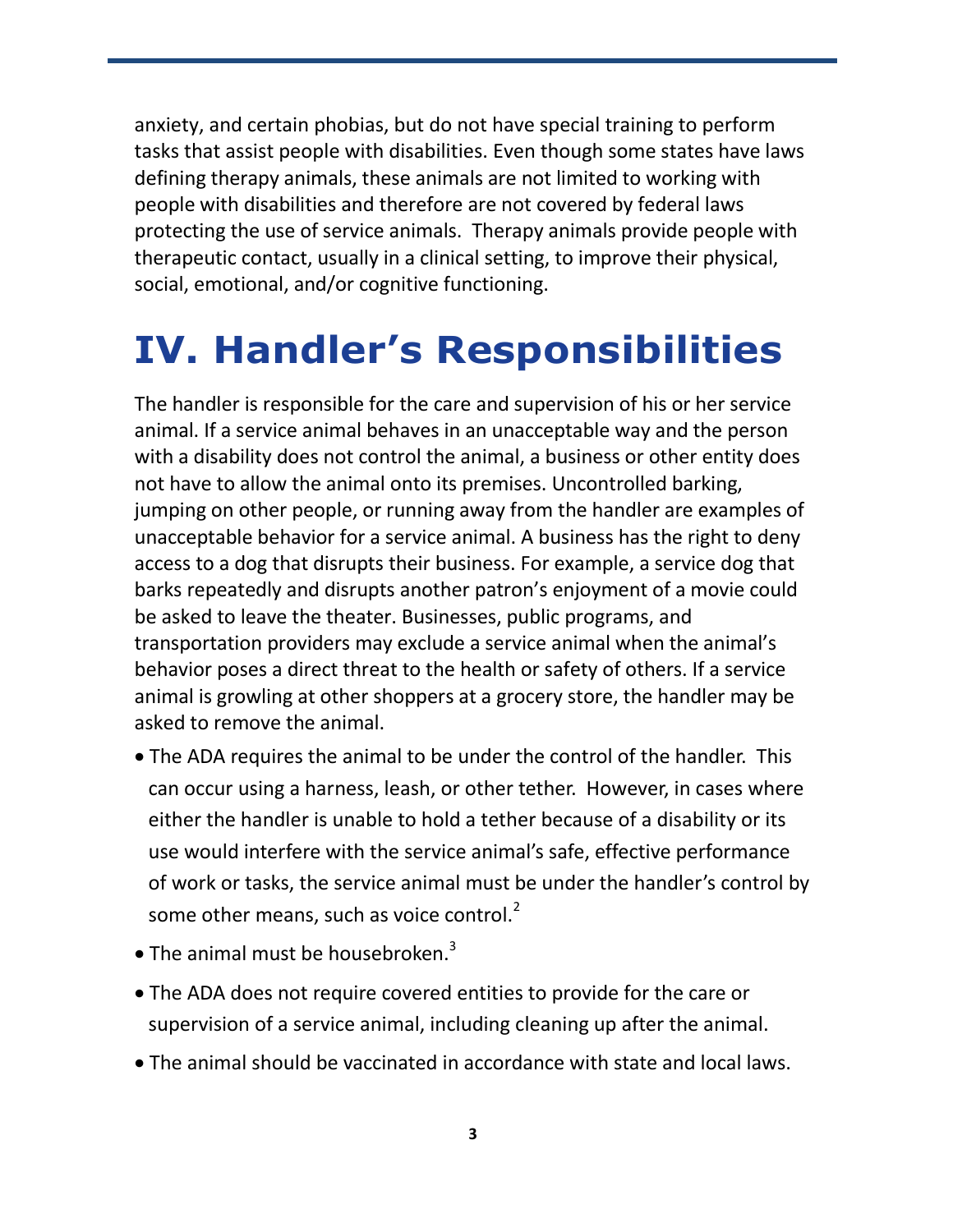anxiety, and certain phobias, but do not have special training to perform tasks that assist people with disabilities. Even though some states have laws defining therapy animals, these animals are not limited to working with people with disabilities and therefore are not covered by federal laws protecting the use of service animals. Therapy animals provide people with therapeutic contact, usually in a clinical setting, to improve their physical, social, emotional, and/or cognitive functioning.

## **IV. Handler's Responsibilities**

The handler is responsible for the care and supervision of his or her service animal. If a service animal behaves in an unacceptable way and the person with a disability does not control the animal, a business or other entity does not have to allow the animal onto its premises. Uncontrolled barking, jumping on other people, or running away from the handler are examples of unacceptable behavior for a service animal. A business has the right to deny access to a dog that disrupts their business. For example, a service dog that barks repeatedly and disrupts another patron's enjoyment of a movie could be asked to leave the theater. Businesses, public programs, and transportation providers may exclude a service animal when the animal's behavior poses a direct threat to the health or safety of others. If a service animal is growling at other shoppers at a grocery store, the handler may be asked to remove the animal.

- The ADA requires the animal to be under the control of the handler. This can occur using a harness, leash, or other tether. However, in cases where either the handler is unable to hold a tether because of a disability or its use would interfere with the service animal's safe, effective performance of work or tasks, the service animal must be under the handler's control by some other means, such as voice control.<sup>2</sup>
- $\bullet$  The animal must be housebroken.<sup>3</sup>
- The ADA does not require covered entities to provide for the care or supervision of a service animal, including cleaning up after the animal.
- The animal should be vaccinated in accordance with state and local laws.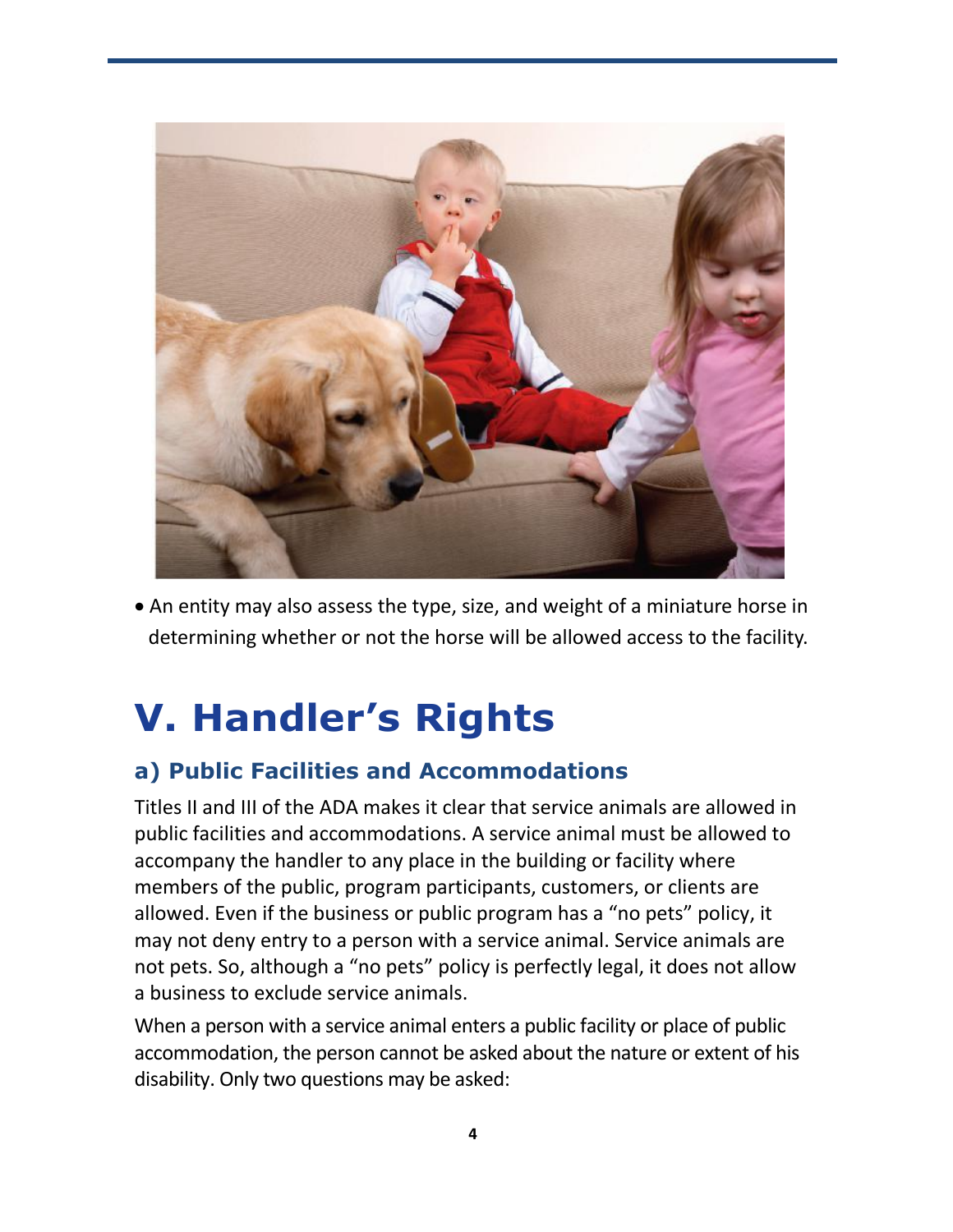

 An entity may also assess the type, size, and weight of a miniature horse in determining whether or not the horse will be allowed access to the facility.

# **V. Handler's Rights**

#### **a) Public Facilities and Accommodations**

Titles II and III of the ADA makes it clear that service animals are allowed in public facilities and accommodations. A service animal must be allowed to accompany the handler to any place in the building or facility where members of the public, program participants, customers, or clients are allowed. Even if the business or public program has a "no pets" policy, it may not deny entry to a person with a service animal. Service animals are not pets. So, although a "no pets" policy is perfectly legal, it does not allow a business to exclude service animals.

When a person with a service animal enters a public facility or place of public accommodation, the person cannot be asked about the nature or extent of his disability. Only two questions may be asked: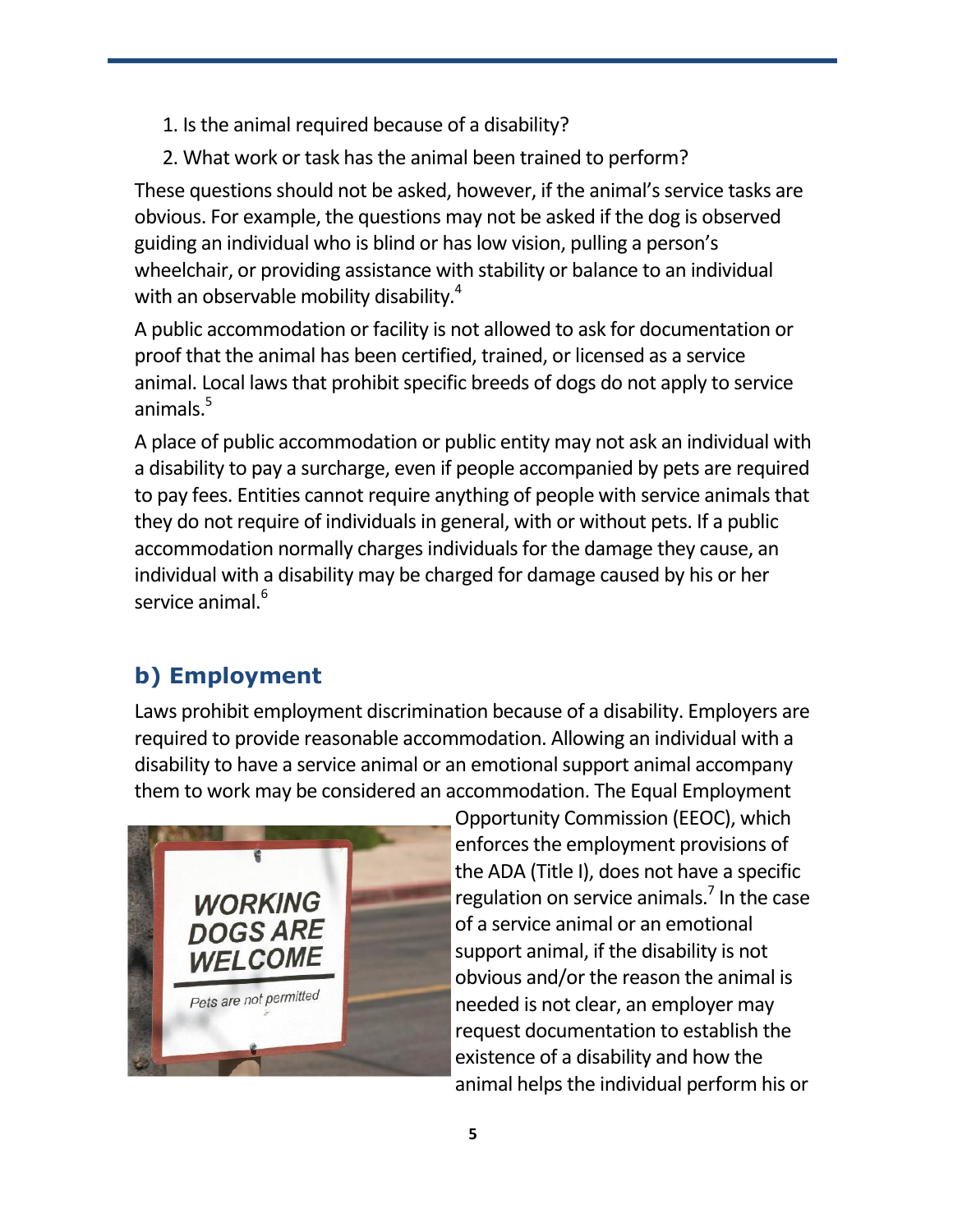- 1. Is the animal required because of a disability?
- 2. What work or task has the animal been trained to perform?

These questions should not be asked, however, if the animal's service tasks are obvious. For example, the questions may not be asked if the dog is observed guiding an individual who is blind or has low vision, pulling a person's wheelchair, or providing assistance with stability or balance to an individual with an observable mobility disability.<sup>4</sup>

A public accommodation or facility is not allowed to ask for documentation or proof that the animal has been certified, trained, or licensed as a service animal. Local laws that prohibit specific breeds of dogs do not apply to service animals. $5$ 

A place of public accommodation or public entity may not ask an individual with a disability to pay a surcharge, even if people accompanied by pets are required to pay fees. Entities cannot require anything of people with service animals that they do not require of individuals in general, with or without pets. If a public accommodation normally charges individuals for the damage they cause, an individual with a disability may be charged for damage caused by his or her service animal.<sup>6</sup>

#### **b) Employment**

Laws prohibit employment discrimination because of a disability. Employers are required to provide reasonable accommodation. Allowing an individual with a disability to have a service animal or an emotional support animal accompany them to work may be considered an accommodation. The Equal Employment



Opportunity Commission (EEOC), which enforces the employment provisions of the ADA (Title I), does not have a specific regulation on service animals.<sup>7</sup> In the case of a service animal or an emotional support animal, if the disability is not obvious and/or the reason the animal is needed is not clear, an employer may request documentation to establish the existence of a disability and how the animal helps the individual perform his or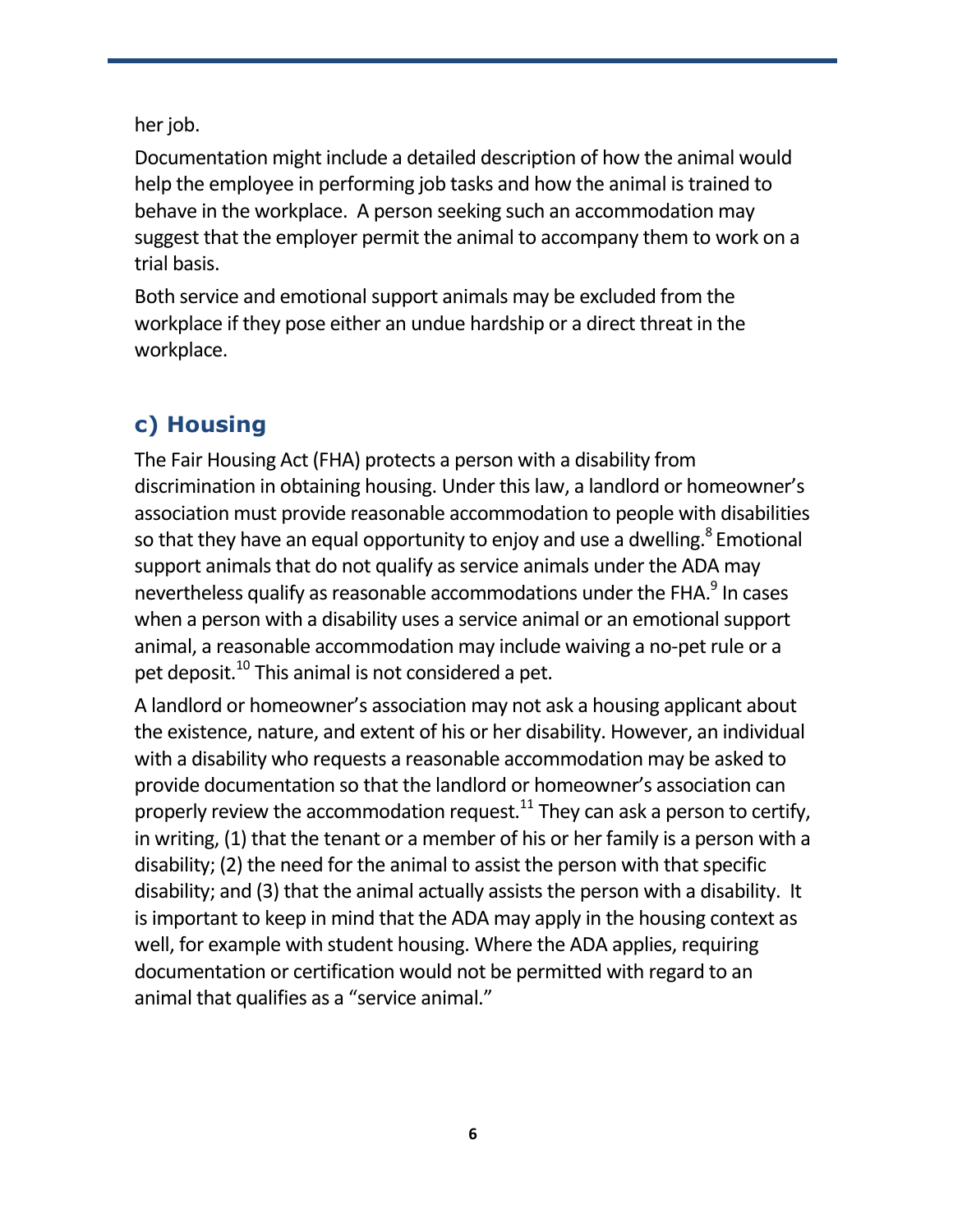her job.

Documentation might include a detailed description of how the animal would help the employee in performing job tasks and how the animal is trained to behave in the workplace. A person seeking such an accommodation may suggest that the employer permit the animal to accompany them to work on a trial basis.

Both service and emotional support animals may be excluded from the workplace if they pose either an undue hardship or a direct threat in the workplace.

### **c) Housing**

The Fair Housing Act (FHA) protects a person with a disability from discrimination in obtaining housing. Under this law, a landlord or homeowner's association must provide reasonable accommodation to people with disabilities so that they have an equal opportunity to enjoy and use a dwelling.<sup>8</sup> Emotional support animals that do not qualify as service animals under the ADA may nevertheless qualify as reasonable accommodations under the FHA.<sup>9</sup> In cases when a person with a disability uses a service animal or an emotional support animal, a reasonable accommodation may include waiving a no-pet rule or a pet deposit.<sup>10</sup> This animal is not considered a pet.

A landlord or homeowner's association may not ask a housing applicant about the existence, nature, and extent of his or her disability. However, an individual with a disability who requests a reasonable accommodation may be asked to provide documentation so that the landlord or homeowner's association can properly review the accommodation request.<sup>11</sup> They can ask a person to certify, in writing, (1) that the tenant or a member of his or her family is a person with a disability; (2) the need for the animal to assist the person with that specific disability; and (3) that the animal actually assists the person with a disability. It is important to keep in mind that the ADA may apply in the housing context as well, for example with student housing. Where the ADA applies, requiring documentation or certification would not be permitted with regard to an animal that qualifies as a "service animal."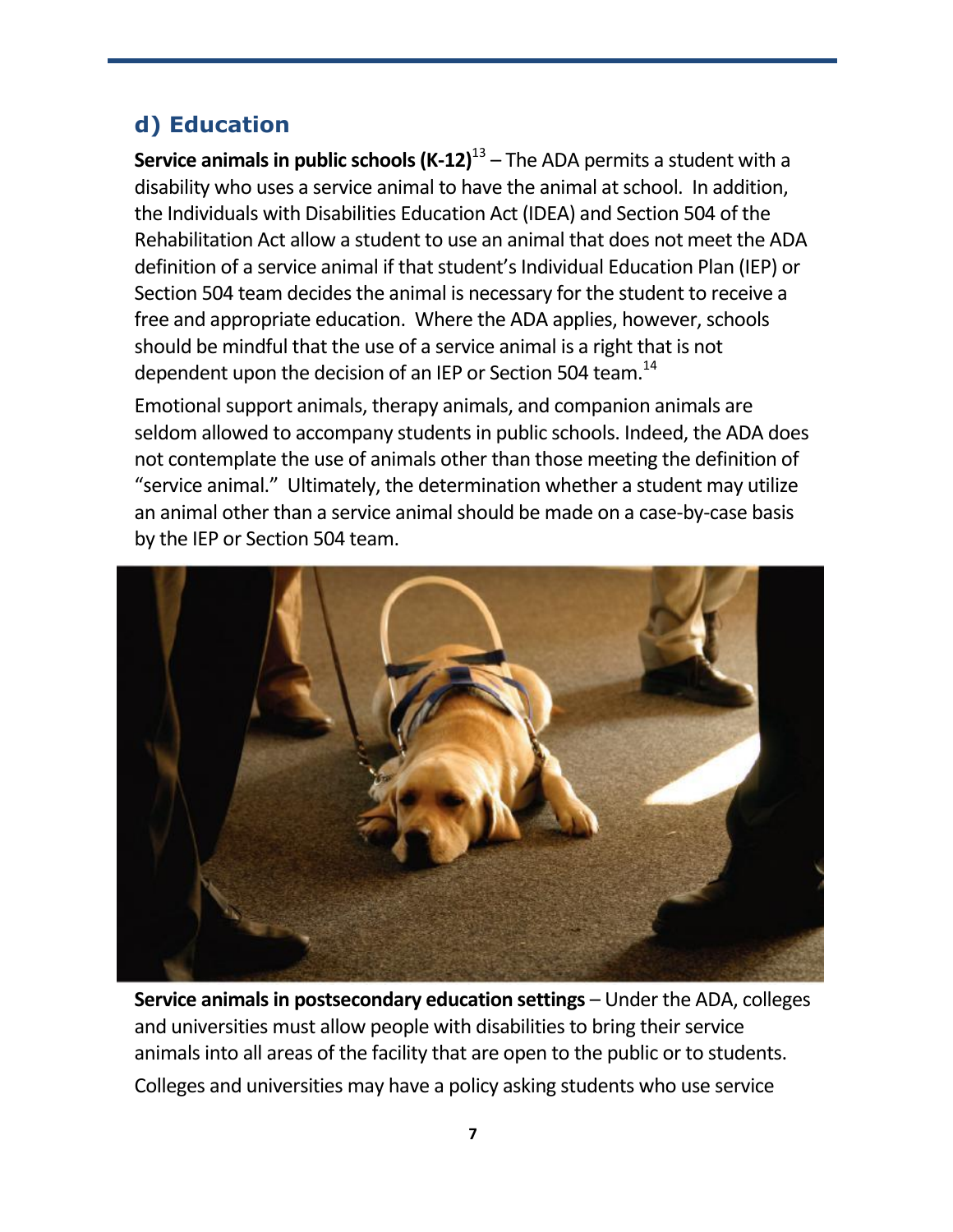#### **d) Education**

**Service animals in public schools (K-12)**<sup>13</sup> – The ADA permits a student with a disability who uses a service animal to have the animal at school. In addition, the Individuals with Disabilities Education Act (IDEA) and Section 504 of the Rehabilitation Act allow a student to use an animal that does not meet the ADA definition of a service animal if that student's Individual Education Plan (IEP) or Section 504 team decides the animal is necessary for the student to receive a free and appropriate education. Where the ADA applies, however, schools should be mindful that the use of a service animal is a right that is not dependent upon the decision of an IEP or Section 504 team.<sup>14</sup>

Emotional support animals, therapy animals, and companion animals are seldom allowed to accompany students in public schools. Indeed, the ADA does not contemplate the use of animals other than those meeting the definition of "service animal." Ultimately, the determination whether a student may utilize an animal other than a service animal should be made on a case-by-case basis by the IEP or Section 504 team.



**Service animals in postsecondary education settings** – Under the ADA, colleges and universities must allow people with disabilities to bring their service animals into all areas of the facility that are open to the public or to students.

Colleges and universities may have a policy asking students who use service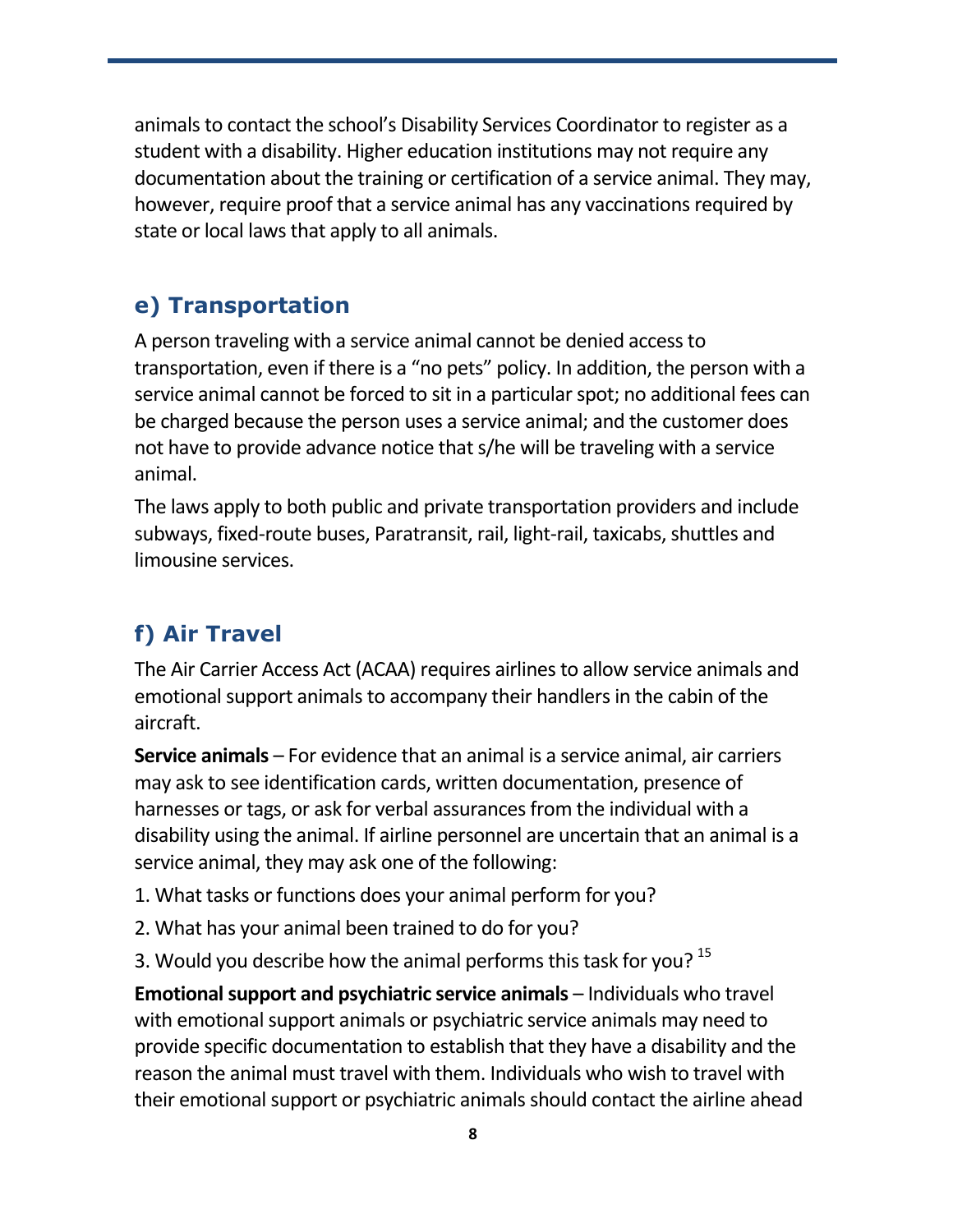animals to contact the school's Disability Services Coordinator to register as a student with a disability. Higher education institutions may not require any documentation about the training or certification of a service animal. They may, however, require proof that a service animal has any vaccinations required by state or local laws that apply to all animals.

#### **e) Transportation**

A person traveling with a service animal cannot be denied access to transportation, even if there is a "no pets" policy. In addition, the person with a service animal cannot be forced to sit in a particular spot; no additional fees can be charged because the person uses a service animal; and the customer does not have to provide advance notice that s/he will be traveling with a service animal.

The laws apply to both public and private transportation providers and include subways, fixed-route buses, Paratransit, rail, light-rail, taxicabs, shuttles and limousine services.

### **f) Air Travel**

The Air Carrier Access Act (ACAA) requires airlines to allow service animals and emotional support animals to accompany their handlers in the cabin of the aircraft.

**Service animals** – For evidence that an animal is a service animal, air carriers may ask to see identification cards, written documentation, presence of harnesses or tags, or ask for verbal assurances from the individual with a disability using the animal. If airline personnel are uncertain that an animal is a service animal, they may ask one of the following:

- 1. What tasks or functions does your animal perform for you?
- 2. What has your animal been trained to do for you?
- 3. Would you describe how the animal performs this task for you?<sup>15</sup>

**Emotional support and psychiatric service animals** – Individuals who travel with emotional support animals or psychiatric service animals may need to provide specific documentation to establish that they have a disability and the reason the animal must travel with them. Individuals who wish to travel with their emotional support or psychiatric animals should contact the airline ahead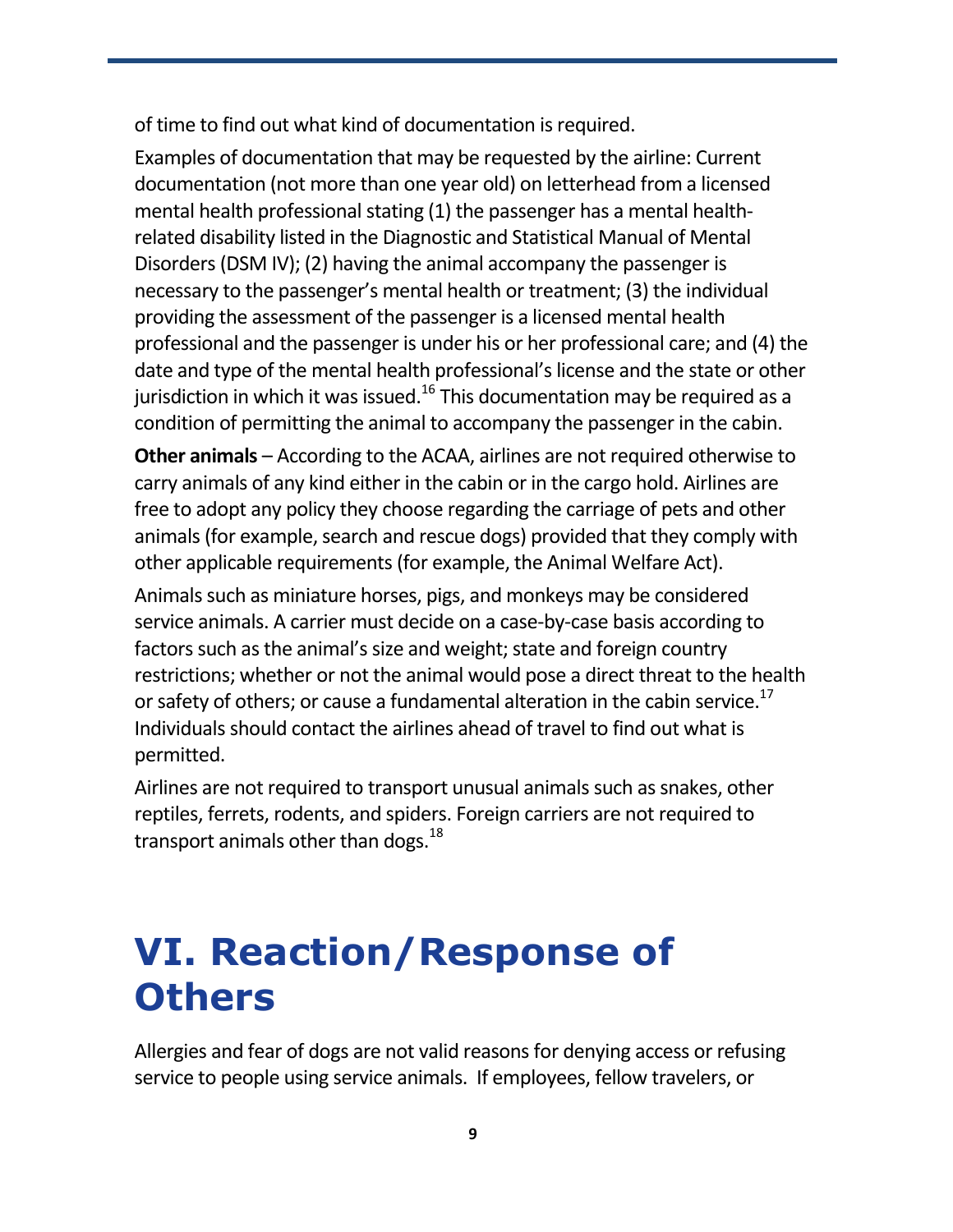of time to find out what kind of documentation is required.

Examples of documentation that may be requested by the airline: Current documentation (not more than one year old) on letterhead from a licensed mental health professional stating (1) the passenger has a mental healthrelated disability listed in the Diagnostic and Statistical Manual of Mental Disorders (DSM IV); (2) having the animal accompany the passenger is necessary to the passenger's mental health or treatment; (3) the individual providing the assessment of the passenger is a licensed mental health professional and the passenger is under his or her professional care; and (4) the date and type of the mental health professional's license and the state or other jurisdiction in which it was issued.<sup>16</sup> This documentation may be required as a condition of permitting the animal to accompany the passenger in the cabin.

**Other animals** – According to the ACAA, airlines are not required otherwise to carry animals of any kind either in the cabin or in the cargo hold. Airlines are free to adopt any policy they choose regarding the carriage of pets and other animals (for example, search and rescue dogs) provided that they comply with other applicable requirements (for example, the Animal Welfare Act).

Animals such as miniature horses, pigs, and monkeys may be considered service animals. A carrier must decide on a case-by-case basis according to factors such as the animal's size and weight; state and foreign country restrictions; whether or not the animal would pose a direct threat to the health or safety of others; or cause a fundamental alteration in the cabin service.<sup>17</sup> Individuals should contact the airlines ahead of travel to find out what is permitted.

Airlines are not required to transport unusual animals such as snakes, other reptiles, ferrets, rodents, and spiders. Foreign carriers are not required to transport animals other than dogs. $^{18}$ 

## **VI. Reaction/Response of Others**

Allergies and fear of dogs are not valid reasons for denying access or refusing service to people using service animals. If employees, fellow travelers, or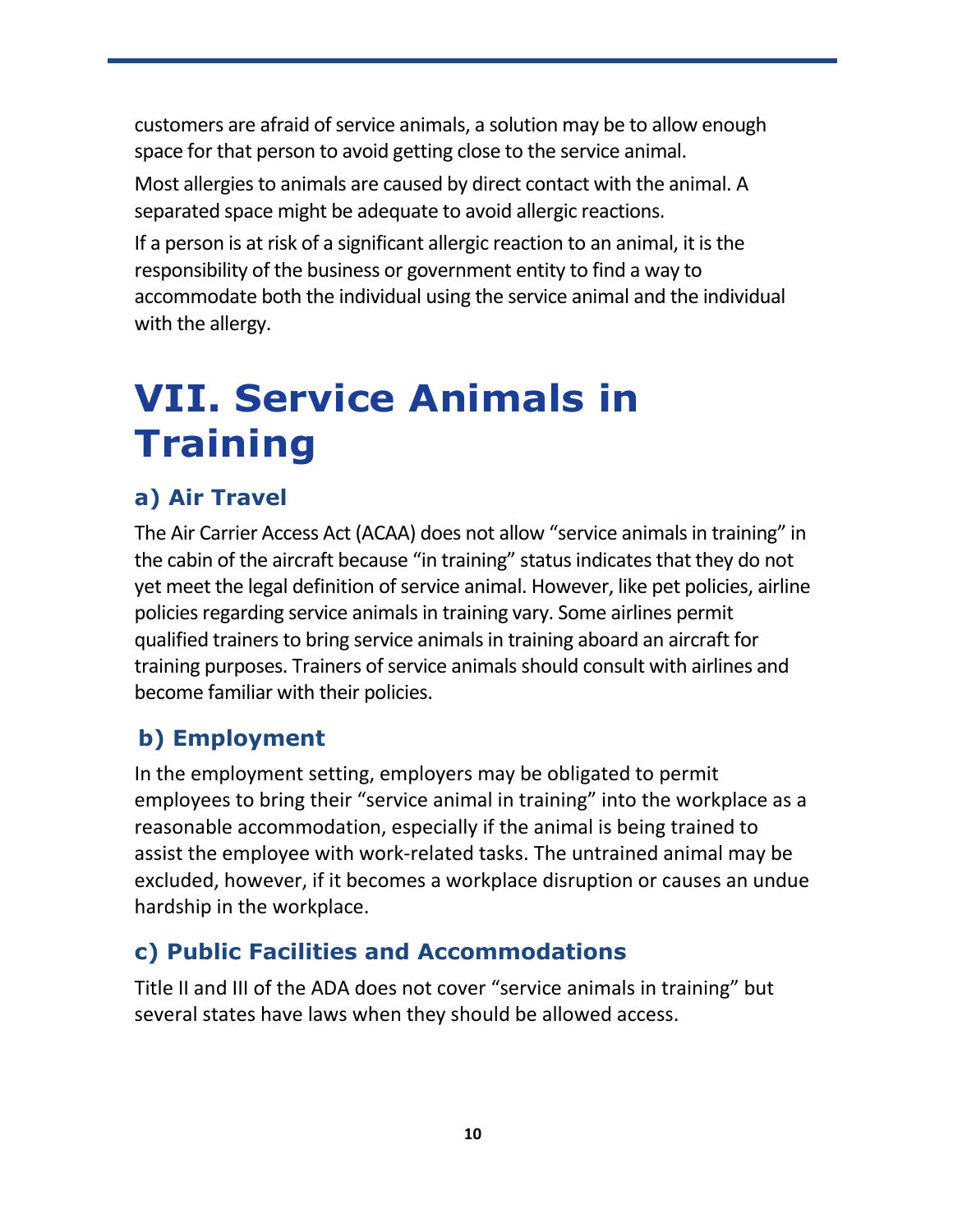customers are afraid of service animals, a solution may be to allow enough space for that person to avoid getting close to the service animal.

Most allergies to animals are caused by direct contact with the animal. A separated space might be adequate to avoid allergic reactions.

If a person is at risk of a significant allergic reaction to an animal, it is the responsibility of the business or government entity to find a way to accommodate both the individual using the service animal and the individual with the allergy.

## **VII. Service Animals in Training**

### **a) Air Travel**

The Air Carrier Access Act (ACAA) does not allow "service animals in training" in the cabin of the aircraft because "in training" status indicates that they do not yet meet the legal definition of service animal. However, like pet policies, airline policies regarding service animals in training vary. Some airlines permit qualified trainers to bring service animals in training aboard an aircraft for training purposes. Trainers of service animals should consult with airlines and become familiar with their policies.

#### **b) Employment**

In the employment setting, employers may be obligated to permit employees to bring their "service animal in training" into the workplace as a reasonable accommodation, especially if the animal is being trained to assist the employee with work-related tasks. The untrained animal may be excluded, however, if it becomes a workplace disruption or causes an undue hardship in the workplace.

#### **c) Public Facilities and Accommodations**

Title II and III of the ADA does not cover "service animals in training" but several states have laws when they should be allowed access.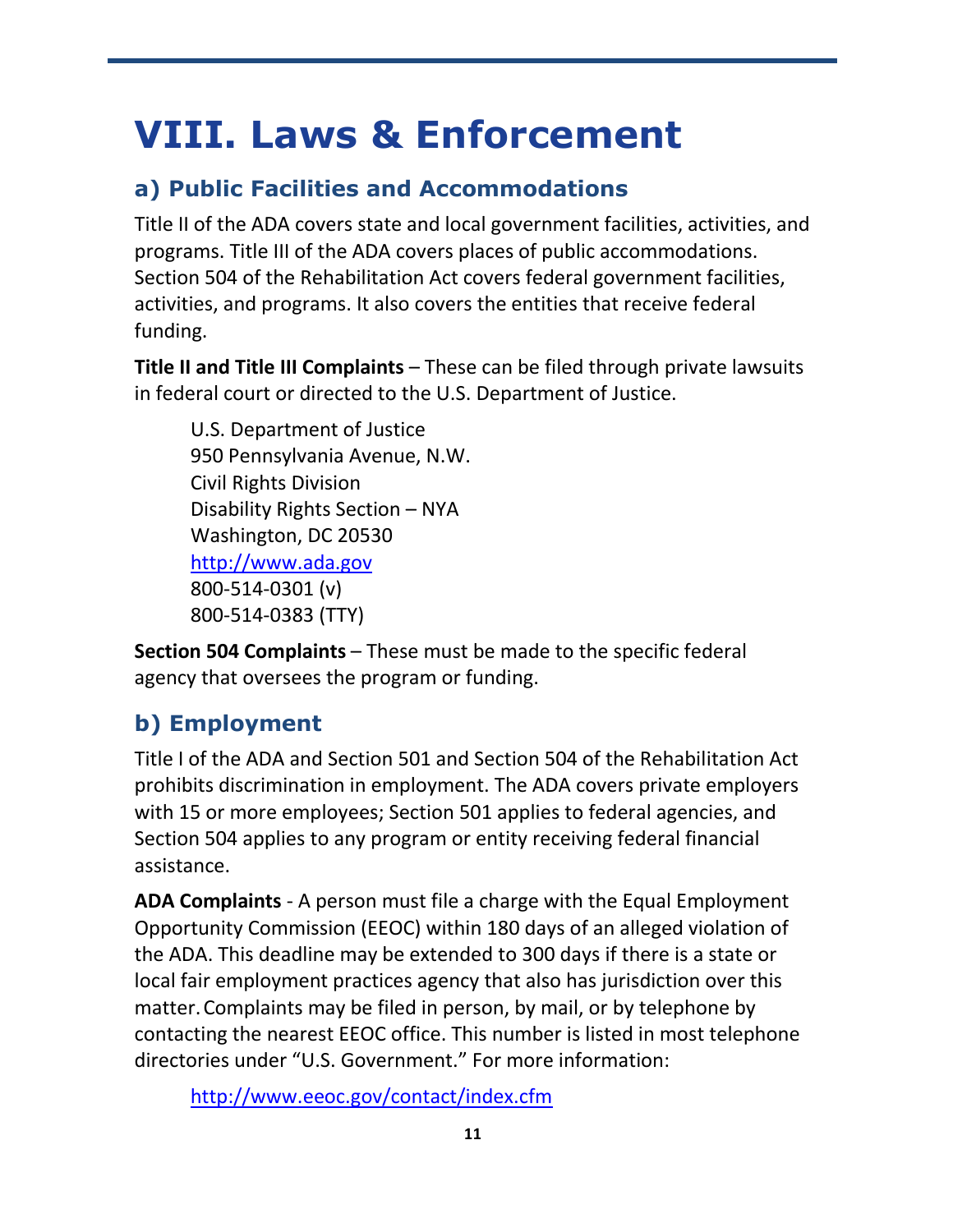# **VIII. Laws & Enforcement**

### **a) Public Facilities and Accommodations**

Title II of the ADA covers state and local government facilities, activities, and programs. Title III of the ADA covers places of public accommodations. Section 504 of the Rehabilitation Act covers federal government facilities, activities, and programs. It also covers the entities that receive federal funding.

**Title II and Title III Complaints** – These can be filed through private lawsuits in federal court or directed to the U.S. Department of Justice.

U.S. Department of Justice 950 Pennsylvania Avenue, N.W. Civil Rights Division Disability Rights Section – NYA Washington, DC 20530 [http://www.ada.gov](http://www.ada.gov/) 800-514-0301 (v) 800-514-0383 (TTY)

**Section 504 Complaints** – These must be made to the specific federal agency that oversees the program or funding.

### **b) Employment**

Title I of the ADA and Section 501 and Section 504 of the Rehabilitation Act prohibits discrimination in employment. The ADA covers private employers with 15 or more employees; Section 501 applies to federal agencies, and Section 504 applies to any program or entity receiving federal financial assistance.

**ADA Complaints** - A person must file a charge with the Equal Employment Opportunity Commission (EEOC) within 180 days of an alleged violation of the ADA. This deadline may be extended to 300 days if there is a state or local fair employment practices agency that also has jurisdiction over this matter.Complaints may be filed in person, by mail, or by telephone by contacting the nearest EEOC office. This number is listed in most telephone directories under "U.S. Government." For more information:

<http://www.eeoc.gov/contact/index.cfm>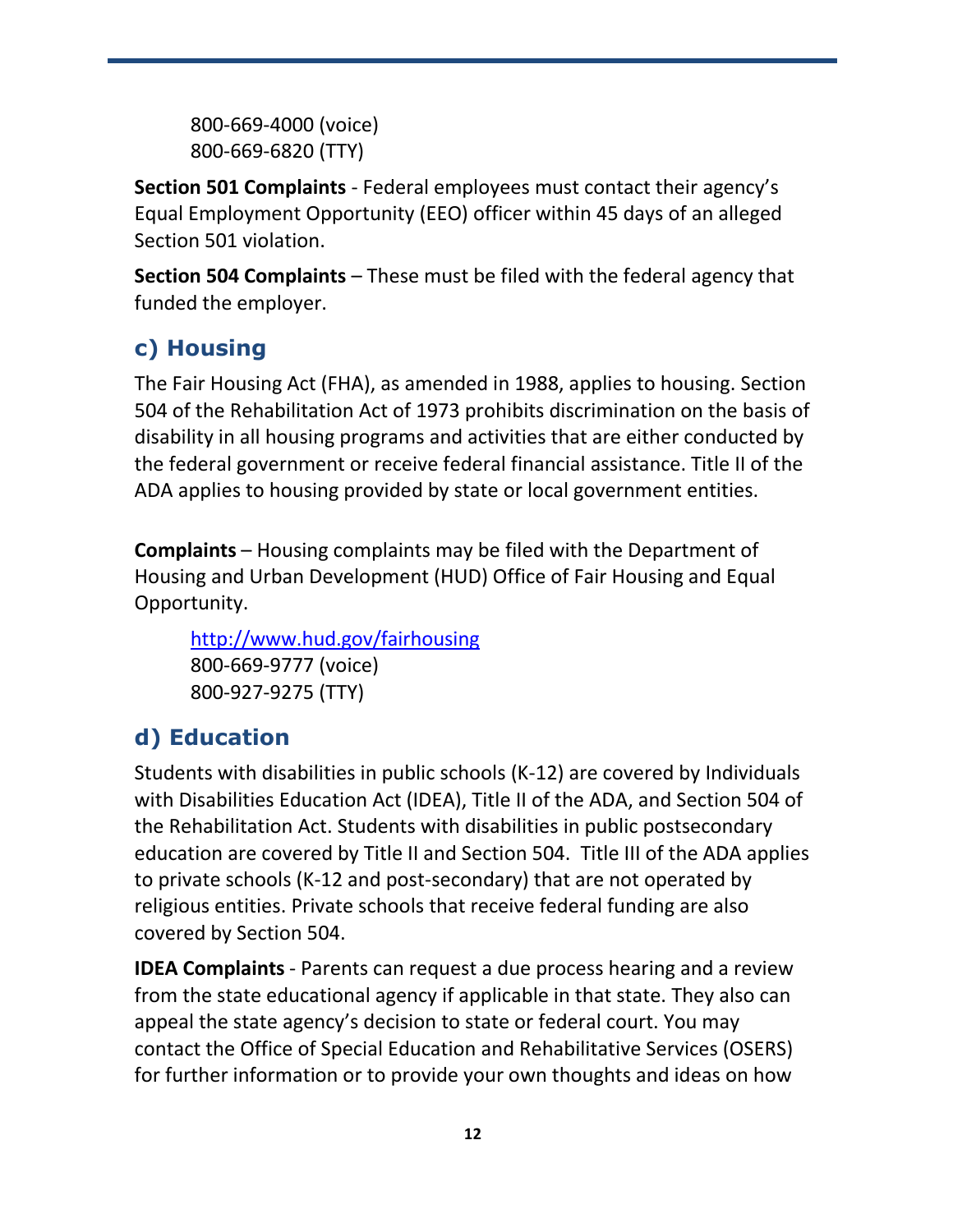```
800-669-4000 (voice)
800-669-6820 (TTY)
```
**Section 501 Complaints** - Federal employees must contact their agency's Equal Employment Opportunity (EEO) officer within 45 days of an alleged Section 501 violation.

**Section 504 Complaints** – These must be filed with the federal agency that funded the employer.

#### **c) Housing**

The Fair Housing Act (FHA), as amended in 1988, applies to housing. Section 504 of the Rehabilitation Act of 1973 prohibits discrimination on the basis of disability in all housing programs and activities that are either conducted by the federal government or receive federal financial assistance. Title II of the ADA applies to housing provided by state or local government entities.

**Complaints** – Housing complaints may be filed with the Department of Housing and Urban Development (HUD) Office of Fair Housing and Equal Opportunity.

<http://www.hud.gov/fairhousing> 800-669-9777 (voice) 800-927-9275 (TTY)

#### **d) Education**

Students with disabilities in public schools (K-12) are covered by Individuals with Disabilities Education Act (IDEA), Title II of the ADA, and Section 504 of the Rehabilitation Act. Students with disabilities in public postsecondary education are covered by Title II and Section 504. Title III of the ADA applies to private schools (K-12 and post-secondary) that are not operated by religious entities. Private schools that receive federal funding are also covered by Section 504.

**IDEA Complaints** - Parents can request a due process hearing and a review from the state educational agency if applicable in that state. They also can appeal the state agency's decision to state or federal court. You may contact the Office of Special Education and Rehabilitative Services (OSERS) for further information or to provide your own thoughts and ideas on how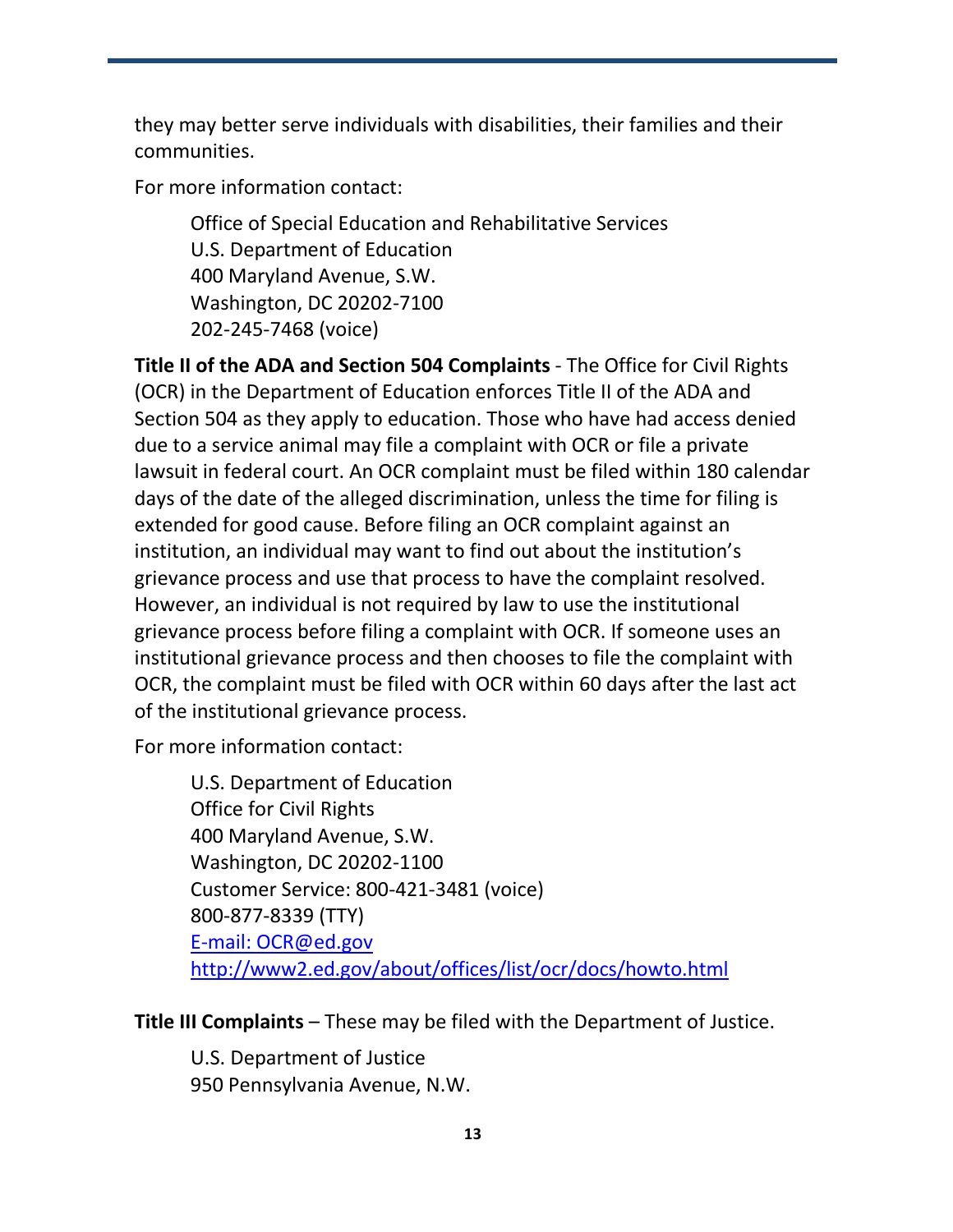they may better serve individuals with disabilities, their families and their communities.

For more information contact:

Office of Special Education and Rehabilitative Services U.S. Department of Education 400 Maryland Avenue, S.W. Washington, DC 20202-7100 202-245-7468 (voice)

**Title II of the ADA and Section 504 Complaints** - The Office for Civil Rights (OCR) in the Department of Education enforces Title II of the ADA and Section 504 as they apply to education. Those who have had access denied due to a service animal may file a complaint with OCR or file a private lawsuit in federal court. An OCR complaint must be filed within 180 calendar days of the date of the alleged discrimination, unless the time for filing is extended for good cause. Before filing an OCR complaint against an institution, an individual may want to find out about the institution's grievance process and use that process to have the complaint resolved. However, an individual is not required by law to use the institutional grievance process before filing a complaint with OCR. If someone uses an institutional grievance process and then chooses to file the complaint with OCR, the complaint must be filed with OCR within 60 days after the last act of the institutional grievance process.

For more information contact:

U.S. Department of Education Office for Civil Rights 400 Maryland Avenue, S.W. Washington, DC 20202-1100 Customer Service: 800-421-3481 (voice) 800-877-8339 (TTY) [E-mail: OCR@ed.gov](mailto:OCR@ed.gov) <http://www2.ed.gov/about/offices/list/ocr/docs/howto.html>

**Title III Complaints** – These may be filed with the Department of Justice.

U.S. Department of Justice 950 Pennsylvania Avenue, N.W.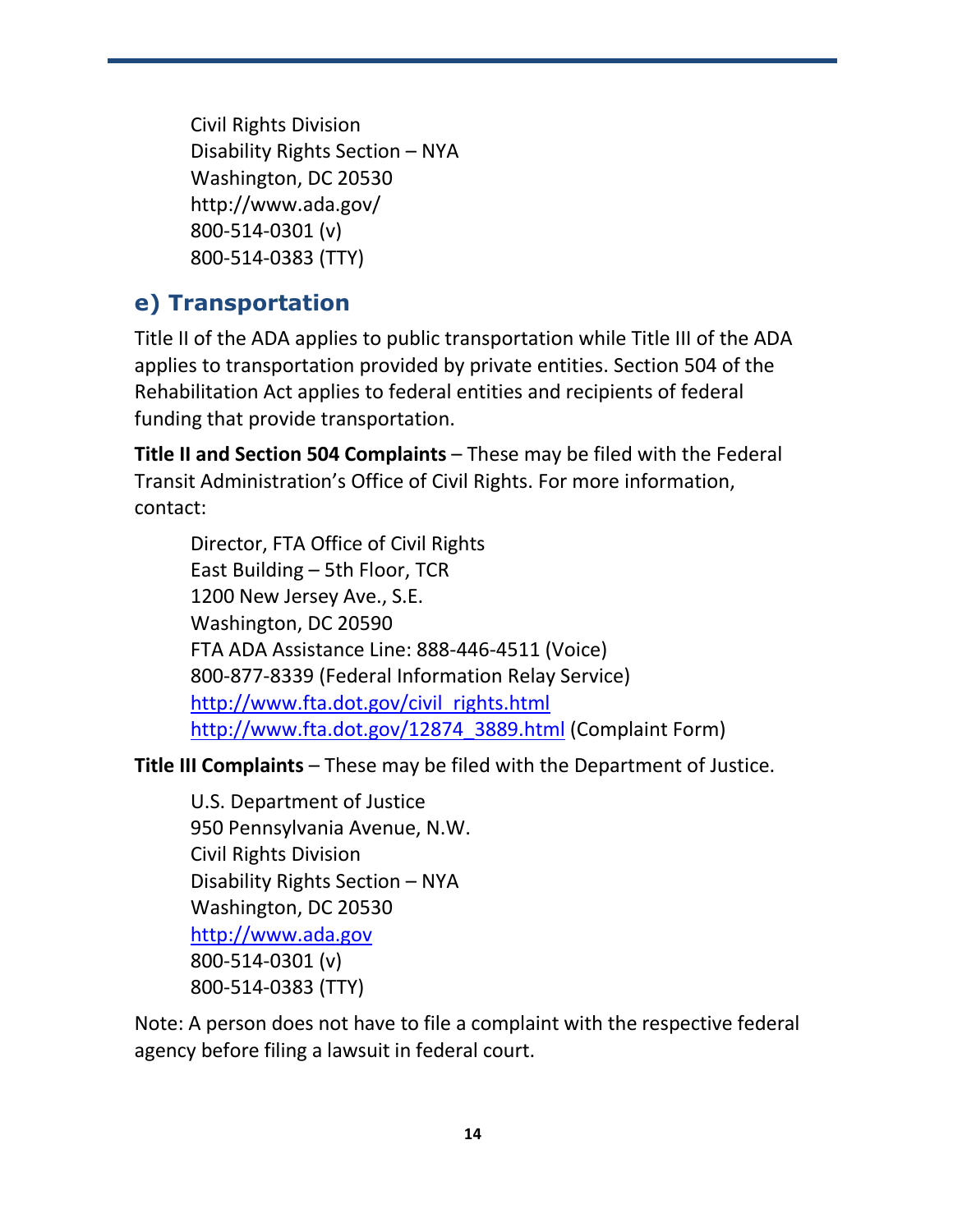Civil Rights Division Disability Rights Section – NYA Washington, DC 20530 http://www.ada.gov/ 800-514-0301 (v) 800-514-0383 (TTY)

#### **e) Transportation**

Title II of the ADA applies to public transportation while Title III of the ADA applies to transportation provided by private entities. Section 504 of the Rehabilitation Act applies to federal entities and recipients of federal funding that provide transportation.

**Title II and Section 504 Complaints** – These may be filed with the Federal Transit Administration's Office of Civil Rights. For more information, contact:

Director, FTA Office of Civil Rights East Building – 5th Floor, TCR 1200 New Jersey Ave., S.E. Washington, DC 20590 FTA ADA Assistance Line: 888-446-4511 (Voice) 800-877-8339 (Federal Information Relay Service) [http://www.fta.dot.gov/civil\\_rights.html](http://www.fta.dot.gov/civil_rights.html) [http://www.fta.dot.gov/12874\\_3889.html](http://www.fta.dot.gov/12874_3889.html) (Complaint Form)

**Title III Complaints** – These may be filed with the Department of Justice.

U.S. Department of Justice 950 Pennsylvania Avenue, N.W. Civil Rights Division Disability Rights Section – NYA Washington, DC 20530 [http://www.ada.gov](http://www.ada.gov/) 800-514-0301 (v) 800-514-0383 (TTY)

Note: A person does not have to file a complaint with the respective federal agency before filing a lawsuit in federal court.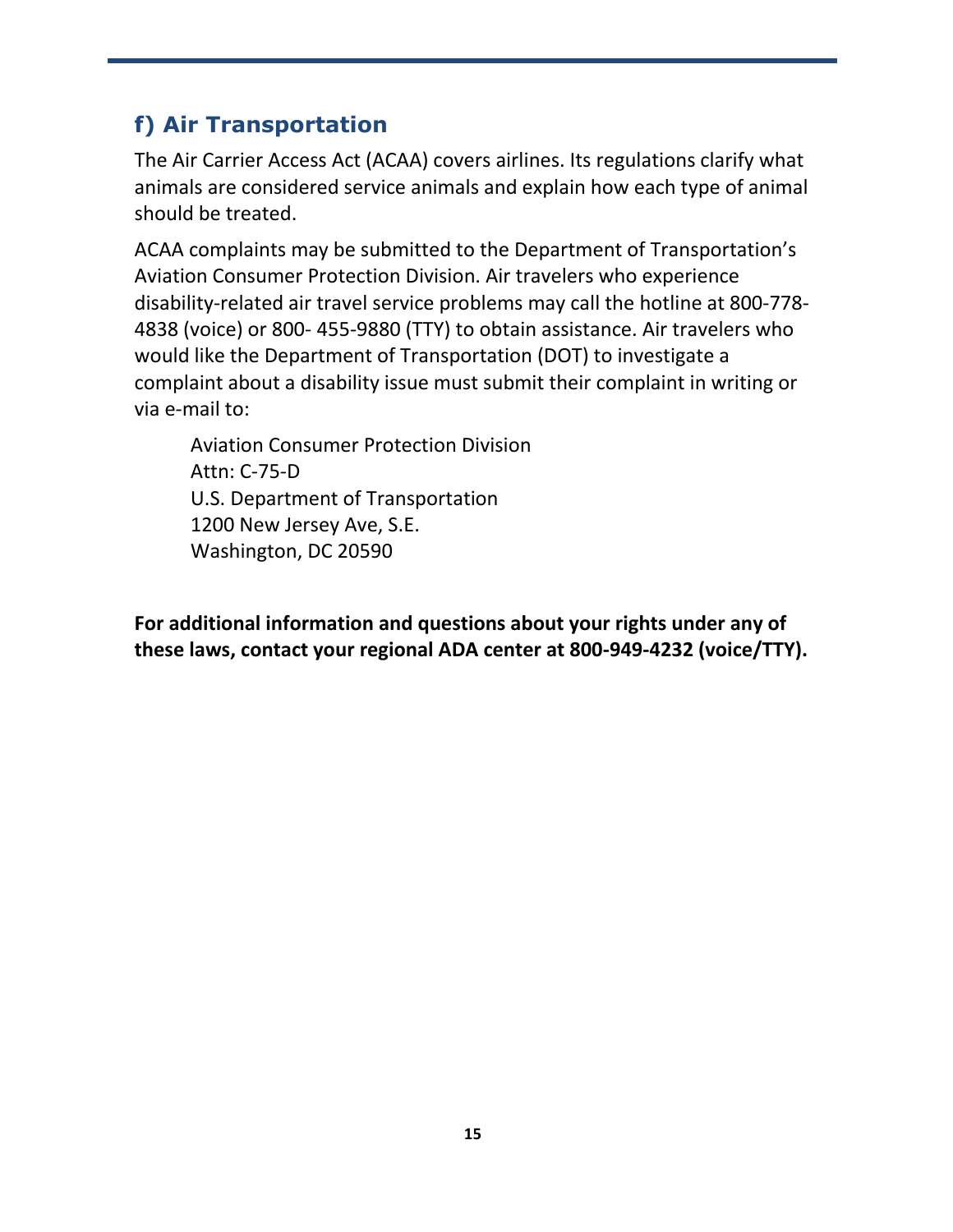### **f) Air Transportation**

The Air Carrier Access Act (ACAA) covers airlines. Its regulations clarify what animals are considered service animals and explain how each type of animal should be treated.

ACAA complaints may be submitted to the Department of Transportation's Aviation Consumer Protection Division. Air travelers who experience disability-related air travel service problems may call the hotline at 800-778- 4838 (voice) or 800- 455-9880 (TTY) to obtain assistance. Air travelers who would like the Department of Transportation (DOT) to investigate a complaint about a disability issue must submit their complaint in writing or via e-mail to:

Aviation Consumer Protection Division Attn: C-75-D U.S. Department of Transportation 1200 New Jersey Ave, S.E. Washington, DC 20590

**For additional information and questions about your rights under any of these laws, contact your regional ADA center at 800-949-4232 (voice/TTY).**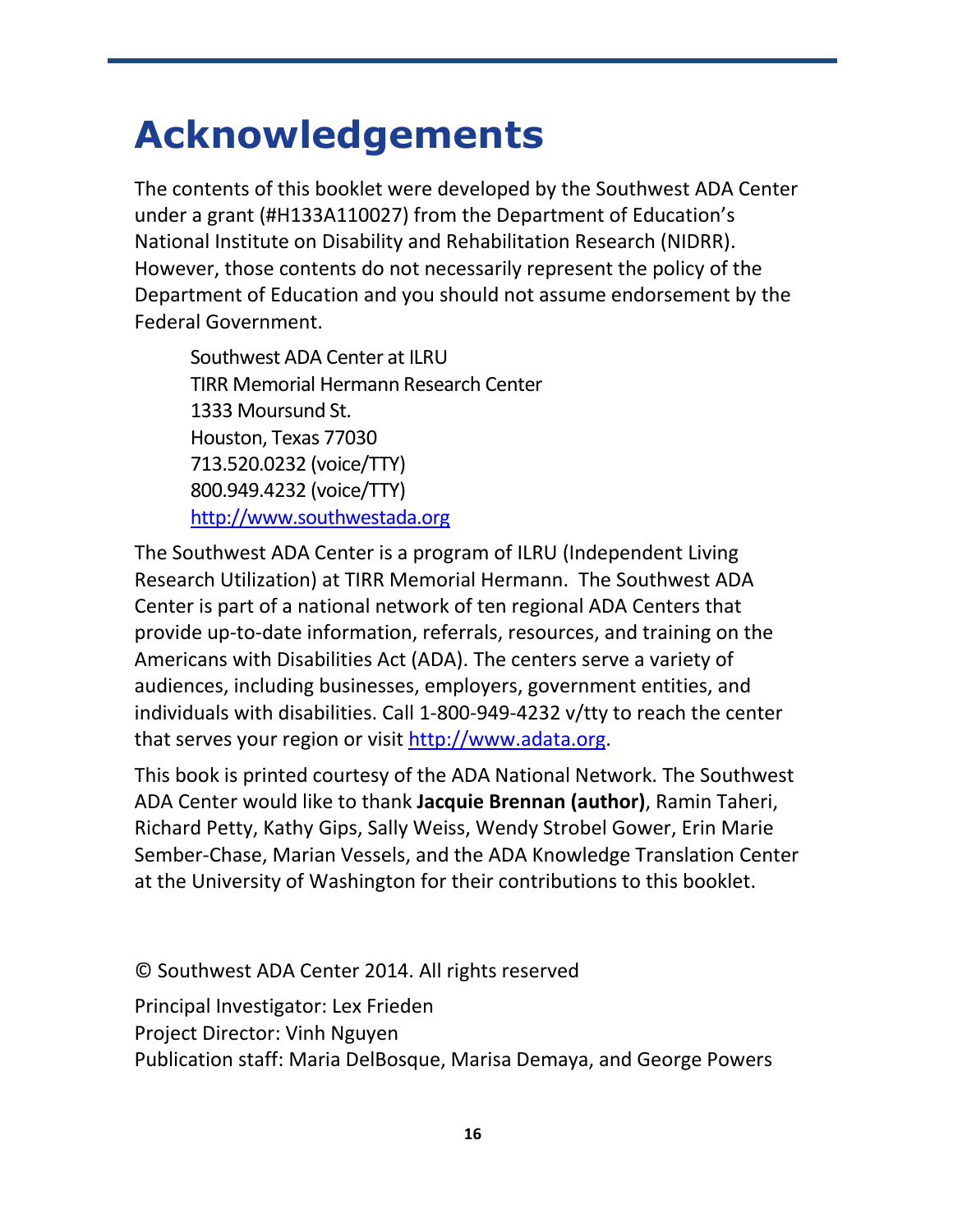### **Acknowledgements**

The contents of this booklet were developed by the Southwest ADA Center under a grant (#H133A110027) from the Department of Education's National Institute on Disability and Rehabilitation Research (NIDRR). However, those contents do not necessarily represent the policy of the Department of Education and you should not assume endorsement by the Federal Government.

Southwest ADA Center at ILRU TIRR Memorial Hermann Research Center 1333 Moursund St. Houston, Texas 77030 713.520.0232 (voice/TTY) 800.949.4232 (voice/TTY) [http://www.southwestada.org](http://www.southwestada.org/)

The Southwest ADA Center is a program of ILRU (Independent Living Research Utilization) at TIRR Memorial Hermann. The Southwest ADA Center is part of a national network of ten regional ADA Centers that provide up-to-date information, referrals, resources, and training on the Americans with Disabilities Act (ADA). The centers serve a variety of audiences, including businesses, employers, government entities, and individuals with disabilities. Call 1-800-949-4232 v/tty to reach the center that serves your region or visit [http://www.adata.org.](http://www.adata.org/)

This book is printed courtesy of the ADA National Network. The Southwest ADA Center would like to thank **Jacquie Brennan (author)**, Ramin Taheri, Richard Petty, Kathy Gips, Sally Weiss, Wendy Strobel Gower, Erin Marie Sember-Chase, Marian Vessels, and the ADA Knowledge Translation Center at the University of Washington for their contributions to this booklet.

© Southwest ADA Center 2014. All rights reserved

Principal Investigator: Lex Frieden Project Director: Vinh Nguyen Publication staff: Maria DelBosque, Marisa Demaya, and George Powers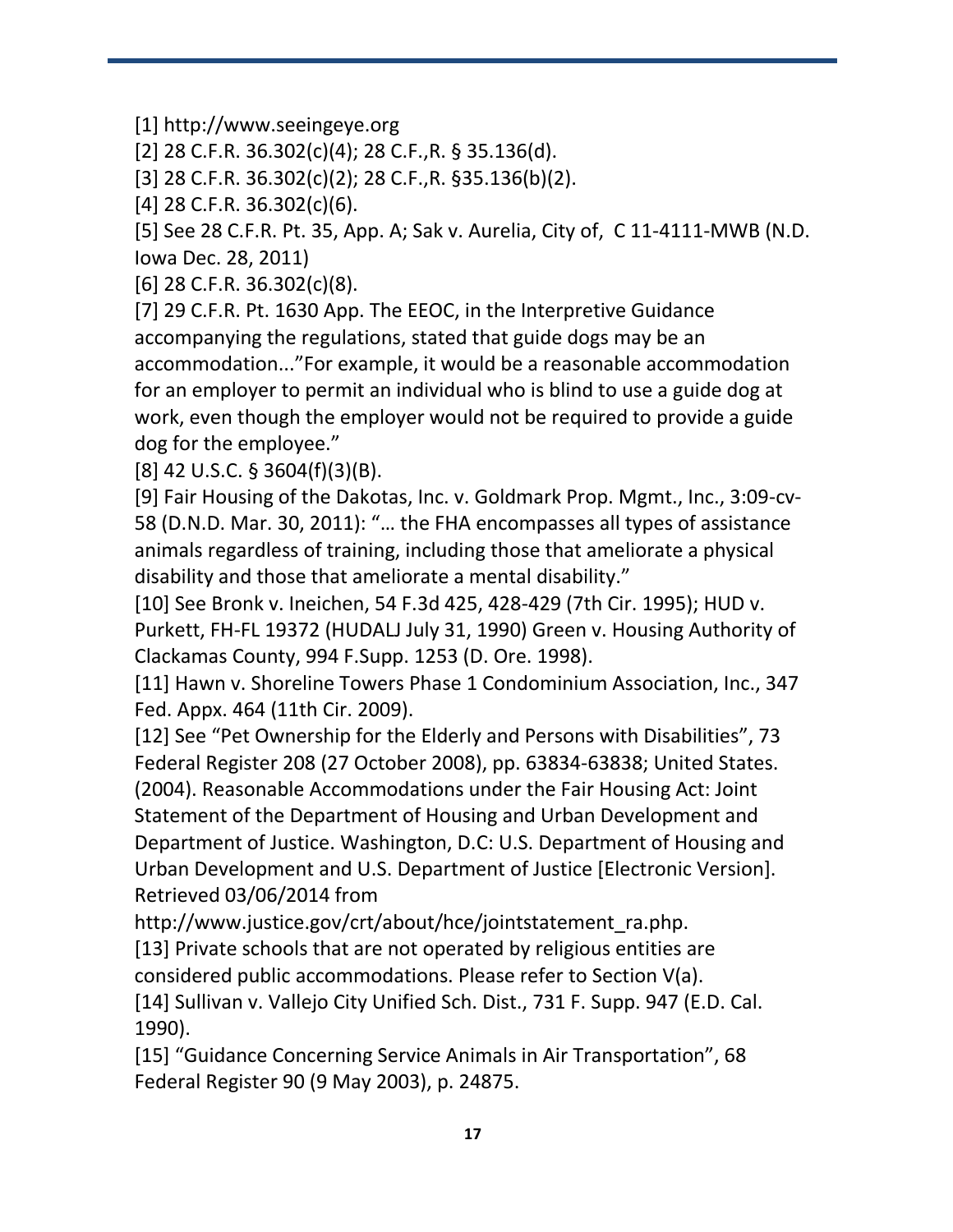[1] http://www.seeingeye.org

[2] 28 C.F.R. 36.302(c)(4); 28 C.F.,R. § 35.136(d).

[3] 28 C.F.R. 36.302(c)(2); 28 C.F.,R. §35.136(b)(2).

[4] 28 C.F.R. 36.302(c)(6).

[5] See 28 C.F.R. Pt. 35, App. A; Sak v. Aurelia, City of, C 11-4111-MWB (N.D. Iowa Dec. 28, 2011)

[6] 28 C.F.R. 36.302(c)(8).

[7] 29 C.F.R. Pt. 1630 App. The EEOC, in the Interpretive Guidance accompanying the regulations, stated that guide dogs may be an accommodation..."For example, it would be a reasonable accommodation for an employer to permit an individual who is blind to use a guide dog at work, even though the employer would not be required to provide a guide dog for the employee."

[8] 42 U.S.C. § 3604(f)(3)(B).

[9] Fair Housing of the Dakotas, Inc. v. Goldmark Prop. Mgmt., Inc., 3:09-cv-58 (D.N.D. Mar. 30, 2011): "… the FHA encompasses all types of assistance animals regardless of training, including those that ameliorate a physical disability and those that ameliorate a mental disability."

[10] See Bronk v. Ineichen, 54 F.3d 425, 428-429 (7th Cir. 1995); HUD v. Purkett, FH-FL 19372 (HUDALJ July 31, 1990) Green v. Housing Authority of Clackamas County, 994 F.Supp. 1253 (D. Ore. 1998).

[11] Hawn v. Shoreline Towers Phase 1 Condominium Association, Inc., 347 Fed. Appx. 464 (11th Cir. 2009).

[12] See "Pet Ownership for the Elderly and Persons with Disabilities", 73 Federal Register 208 (27 October 2008), pp. 63834-63838; United States. (2004). Reasonable Accommodations under the Fair Housing Act: Joint Statement of the Department of Housing and Urban Development and Department of Justice. Washington, D.C: U.S. Department of Housing and Urban Development and U.S. Department of Justice [Electronic Version]. Retrieved 03/06/2014 from

http://www.justice.gov/crt/about/hce/jointstatement\_ra.php.

[13] Private schools that are not operated by religious entities are considered public accommodations. Please refer to Section V(a).

[14] Sullivan v. Vallejo City Unified Sch. Dist., 731 F. Supp. 947 (E.D. Cal. 1990).

[15] "Guidance Concerning Service Animals in Air Transportation", 68 Federal Register 90 (9 May 2003), p. 24875.